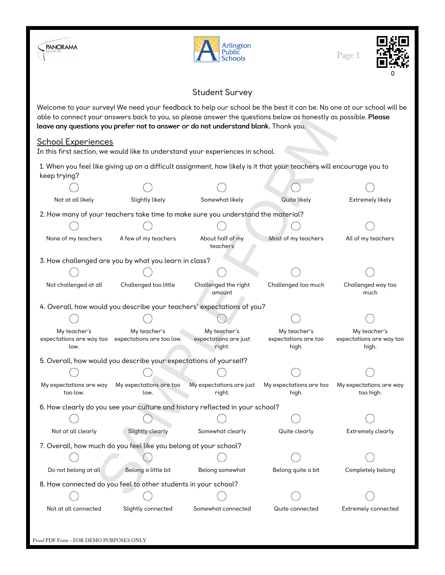



Page 1



## Student Survey

Welcome to your survey! We need your feedback to help our school be the best it can be. No one at our school will be able to connect your answers back to you, so please answer the questions below as honestly as possible. Please leave any questions you prefer not to answer or do not understand blank. Thank you.

## School Experiences

|                                                                                                                                      | able to connect your answer's back to you, so please answer the questions below as nonestly as possible. Fl <b>ease</b> | leave any questions you prefer not to answer or do not understand blank. Thank you. |                                               |                                                   |  |  |  |  |  |
|--------------------------------------------------------------------------------------------------------------------------------------|-------------------------------------------------------------------------------------------------------------------------|-------------------------------------------------------------------------------------|-----------------------------------------------|---------------------------------------------------|--|--|--|--|--|
| <u> School Experiences</u>                                                                                                           |                                                                                                                         |                                                                                     |                                               |                                                   |  |  |  |  |  |
|                                                                                                                                      |                                                                                                                         | In this first section, we would like to understand your experiences in school.      |                                               |                                                   |  |  |  |  |  |
| 1. When you feel like giving up on a difficult assignment, how likely is it that your teachers will encourage you to<br>keep trying? |                                                                                                                         |                                                                                     |                                               |                                                   |  |  |  |  |  |
|                                                                                                                                      |                                                                                                                         |                                                                                     |                                               |                                                   |  |  |  |  |  |
| Not at all likely                                                                                                                    | Slightly likely                                                                                                         | Somewhat likely                                                                     | Extremely likely                              |                                                   |  |  |  |  |  |
| 2. How many of your teachers take time to make sure you understand the material?                                                     |                                                                                                                         |                                                                                     |                                               |                                                   |  |  |  |  |  |
|                                                                                                                                      |                                                                                                                         |                                                                                     |                                               |                                                   |  |  |  |  |  |
| None of my teachers                                                                                                                  | Most of my teachers<br>A few of my teachers<br>About half of my<br>teachers                                             |                                                                                     |                                               |                                                   |  |  |  |  |  |
|                                                                                                                                      | 3. How challenged are you by what you learn in class?                                                                   |                                                                                     |                                               |                                                   |  |  |  |  |  |
|                                                                                                                                      |                                                                                                                         |                                                                                     |                                               |                                                   |  |  |  |  |  |
| Not challenged at all                                                                                                                | Challenged too little                                                                                                   | Challenged the right<br>amount                                                      | Challenged too much                           | Challenged way too<br>much                        |  |  |  |  |  |
| 4. Overall, how would you describe your teachers' expectations of you?                                                               |                                                                                                                         |                                                                                     |                                               |                                                   |  |  |  |  |  |
|                                                                                                                                      |                                                                                                                         |                                                                                     |                                               |                                                   |  |  |  |  |  |
| My teacher's<br>low.                                                                                                                 | My teacher's<br>expectations are way too expectations are too low.                                                      | My teacher's<br>expectations are just<br>right.                                     | My teacher's<br>expectations are too<br>high. | My teacher's<br>expectations are way too<br>high. |  |  |  |  |  |
|                                                                                                                                      | 5. Overall, how would you describe your expectations of yourself?                                                       |                                                                                     |                                               |                                                   |  |  |  |  |  |
|                                                                                                                                      |                                                                                                                         |                                                                                     |                                               |                                                   |  |  |  |  |  |
| My expectations are way<br>too low.                                                                                                  | My expectations are too<br>low.                                                                                         | My expectations are just<br>right.                                                  | My expectations are too<br>high.              | My expectations are way<br>too high.              |  |  |  |  |  |
|                                                                                                                                      |                                                                                                                         | 6. How clearly do you see your culture and history reflected in your school?        |                                               |                                                   |  |  |  |  |  |
|                                                                                                                                      |                                                                                                                         |                                                                                     |                                               |                                                   |  |  |  |  |  |
| Not at all clearly                                                                                                                   | Slightly clearly                                                                                                        | Somewhat clearly                                                                    | Quite clearly                                 | <b>Extremely clearly</b>                          |  |  |  |  |  |
|                                                                                                                                      | 7. Overall, how much do you feel like you belong at your school?                                                        |                                                                                     |                                               |                                                   |  |  |  |  |  |
|                                                                                                                                      |                                                                                                                         |                                                                                     |                                               |                                                   |  |  |  |  |  |
| Do not belong at all                                                                                                                 | Belong a little bit                                                                                                     | Belong somewhat                                                                     | Belong quite a bit                            | Completely belong                                 |  |  |  |  |  |
| 8. How connected do you feel to other students in your school?                                                                       |                                                                                                                         |                                                                                     |                                               |                                                   |  |  |  |  |  |
|                                                                                                                                      |                                                                                                                         |                                                                                     |                                               |                                                   |  |  |  |  |  |
| Not at all connected                                                                                                                 | Slightly connected                                                                                                      | Somewhat connected                                                                  | Quite connected                               | Extremely connected                               |  |  |  |  |  |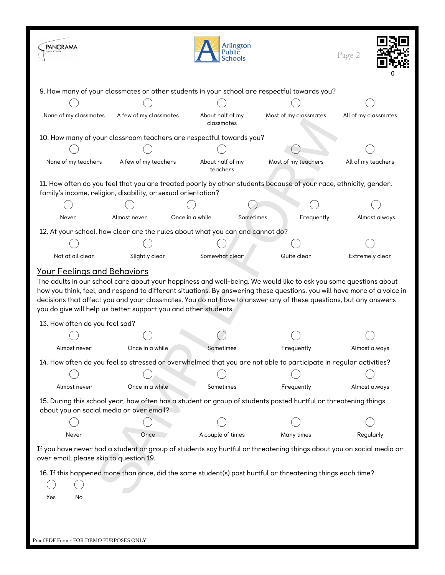| <b>PANORAMA</b>                                                 |                        | Arlington<br><b>Public</b><br><b>Schools</b>                                  |                                                                                                                                                                                                                                                                                                                                                                  | Page 2               |
|-----------------------------------------------------------------|------------------------|-------------------------------------------------------------------------------|------------------------------------------------------------------------------------------------------------------------------------------------------------------------------------------------------------------------------------------------------------------------------------------------------------------------------------------------------------------|----------------------|
|                                                                 |                        |                                                                               | 9. How many of your classmates or other students in your school are respectful towards you?                                                                                                                                                                                                                                                                      |                      |
|                                                                 |                        |                                                                               |                                                                                                                                                                                                                                                                                                                                                                  |                      |
| None of my classmates                                           | A few of my classmates | About half of my<br>classmates                                                | Most of my classmates                                                                                                                                                                                                                                                                                                                                            | All of my classmates |
|                                                                 |                        | 10. How many of your classroom teachers are respectful towards you?           |                                                                                                                                                                                                                                                                                                                                                                  |                      |
|                                                                 |                        |                                                                               |                                                                                                                                                                                                                                                                                                                                                                  |                      |
| None of my teachers                                             | A few of my teachers   | About half of my<br>teachers                                                  | Most of my teachers                                                                                                                                                                                                                                                                                                                                              | All of my teachers   |
| family's income, religion, disability, or sexual orientation?   |                        |                                                                               | 11. How often do you feel that you are treated poorly by other students because of your race, ethnicity, gender,                                                                                                                                                                                                                                                 |                      |
|                                                                 |                        |                                                                               |                                                                                                                                                                                                                                                                                                                                                                  |                      |
| Never                                                           | Almost never           | Once in a while<br>Sometimes                                                  | Frequently                                                                                                                                                                                                                                                                                                                                                       | Almost always        |
|                                                                 |                        | 12. At your school, how clear are the rules about what you can and cannot do? |                                                                                                                                                                                                                                                                                                                                                                  |                      |
|                                                                 |                        |                                                                               |                                                                                                                                                                                                                                                                                                                                                                  |                      |
| Not at all clear                                                | Slightly clear         | Somewhat clear                                                                | Quite clear                                                                                                                                                                                                                                                                                                                                                      | Extremely clear      |
| you do give will help us better support you and other students. |                        |                                                                               | The adults in our school care about your happiness and well-being. We would like to ask you some questions about<br>how you think, feel, and respond to different situations. By answering these questions, you will have more of a voice in<br>decisions that affect you and your classmates. You do not have to answer any of these questions, but any answers |                      |
| 13. How often do you feel sad?                                  |                        |                                                                               |                                                                                                                                                                                                                                                                                                                                                                  |                      |
|                                                                 |                        |                                                                               |                                                                                                                                                                                                                                                                                                                                                                  |                      |
| Almost never                                                    | Once in a while.       | Sometimes                                                                     | Frequently                                                                                                                                                                                                                                                                                                                                                       | Almost always        |
|                                                                 |                        |                                                                               | 14. How often do you feel so stressed or overwhelmed that you are not able to participate in regular activities?                                                                                                                                                                                                                                                 |                      |
|                                                                 |                        |                                                                               |                                                                                                                                                                                                                                                                                                                                                                  |                      |
| Almost never                                                    | Once in a while        | Sometimes                                                                     | Frequently                                                                                                                                                                                                                                                                                                                                                       | Almost always        |
| about you on social media or over email?                        |                        |                                                                               | 15. During this school year, how often has a student or group of students posted hurtful or threatening things                                                                                                                                                                                                                                                   |                      |
|                                                                 |                        |                                                                               |                                                                                                                                                                                                                                                                                                                                                                  |                      |
| Never                                                           | Once                   | A couple of times                                                             | Many times                                                                                                                                                                                                                                                                                                                                                       | Regularly            |
| over email, please skip to question 19.                         |                        |                                                                               | If you have never had a student or group of students say hurtful or threatening things about you on social media or                                                                                                                                                                                                                                              |                      |
| Yes<br>No<br>Proof PDF Form - FOR DEMO PURPOSES ONLY            |                        |                                                                               | 16. If this happened more than once, did the same student(s) post hurtful or threatening things each time?                                                                                                                                                                                                                                                       |                      |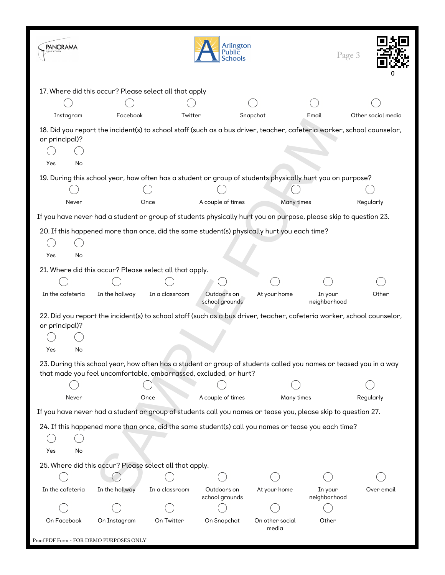| <b>PANORAMA</b>                         |                                                                   |                | Arlington<br>Public<br><b>Schools</b> |                                                                                                                        | Page 3                  |                    |
|-----------------------------------------|-------------------------------------------------------------------|----------------|---------------------------------------|------------------------------------------------------------------------------------------------------------------------|-------------------------|--------------------|
|                                         | 17. Where did this occur? Please select all that apply            |                |                                       |                                                                                                                        |                         |                    |
|                                         |                                                                   |                |                                       |                                                                                                                        |                         |                    |
| Instagram                               | Facebook                                                          | Twitter        |                                       | Snapchat                                                                                                               | Email                   | Other social media |
| or principal)?<br>Yes<br>No             |                                                                   |                |                                       | 18. Did you report the incident(s) to school staff (such as a bus driver, teacher, cafeteria worker, school counselor, |                         |                    |
|                                         |                                                                   |                |                                       | 19. During this school year, how often has a student or group of students physically hurt you on purpose?              |                         |                    |
|                                         |                                                                   |                |                                       |                                                                                                                        |                         |                    |
| Never                                   |                                                                   | Once           | A couple of times                     | Many times                                                                                                             |                         | Regularly          |
|                                         |                                                                   |                |                                       | If you have never had a student or group of students physically hurt you on purpose, please skip to question 23.       |                         |                    |
| Yes<br>No                               |                                                                   |                |                                       | 20. If this happened more than once, did the same student(s) physically hurt you each time?                            |                         |                    |
|                                         | 21. Where did this occur? Please select all that apply.           |                |                                       |                                                                                                                        |                         |                    |
|                                         |                                                                   |                |                                       |                                                                                                                        |                         |                    |
| In the cafeteria                        | In the hallway                                                    | In a classroom | Outdoors on<br>school grounds         | At your home                                                                                                           | In your<br>neighborhood | Other              |
| or principal)?                          |                                                                   |                |                                       | 22. Did you report the incident(s) to school staff (such as a bus driver, teacher, cafeteria worker, school counselor, |                         |                    |
| Yes<br>No                               |                                                                   |                |                                       |                                                                                                                        |                         |                    |
|                                         | that made you feel uncomfortable, embarrassed, excluded, or hurt? |                |                                       | 23. During this school year, how often has a student or group of students called you names or teased you in a way      |                         |                    |
|                                         |                                                                   |                |                                       |                                                                                                                        |                         |                    |
| Never                                   |                                                                   | Once           | A couple of times                     | Many times                                                                                                             |                         | Regularly          |
|                                         |                                                                   |                |                                       | If you have never had a student or group of students call you names or tease you, please skip to question 27.          |                         |                    |
| Yes<br>No                               |                                                                   |                |                                       | 24. If this happened more than once, did the same student(s) call you names or tease you each time?                    |                         |                    |
|                                         | 25. Where did this occur? Please select all that apply.           |                |                                       |                                                                                                                        |                         |                    |
|                                         |                                                                   |                |                                       |                                                                                                                        |                         |                    |
| In the cafeteria                        | In the hallway                                                    | In a classroom | Outdoors on<br>school grounds         | At your home                                                                                                           | In your<br>neighborhood | Over email         |
|                                         |                                                                   |                |                                       |                                                                                                                        |                         |                    |
| On Facebook                             | On Instagram                                                      | On Twitter     | On Snapchat                           | On other social<br>media                                                                                               | Other                   |                    |
| Proof PDF Form - FOR DEMO PURPOSES ONLY |                                                                   |                |                                       |                                                                                                                        |                         |                    |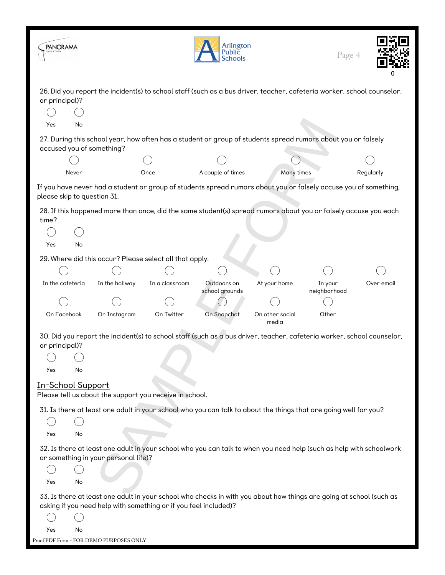| <b>PANORAMA</b>             |                                                                                                                                                                                         |                | Arlington<br>Public<br><b>Schools</b> |                          | Page 4                  |            |
|-----------------------------|-----------------------------------------------------------------------------------------------------------------------------------------------------------------------------------------|----------------|---------------------------------------|--------------------------|-------------------------|------------|
| or principal)?              | 26. Did you report the incident(s) to school staff (such as a bus driver, teacher, cafeteria worker, school counselor,                                                                  |                |                                       |                          |                         |            |
| Yes<br>No                   |                                                                                                                                                                                         |                |                                       |                          |                         |            |
|                             | 27. During this school year, how often has a student or group of students spread rumors about you or falsely<br>accused you of something?                                               |                |                                       |                          |                         |            |
|                             |                                                                                                                                                                                         |                |                                       |                          |                         |            |
| Never                       |                                                                                                                                                                                         | Once           | A couple of times                     | <b>Many times</b>        |                         | Regularly  |
| please skip to question 31. | If you have never had a student or group of students spread rumors about you or falsely accuse you of something,                                                                        |                |                                       |                          |                         |            |
| time?                       | 28. If this happened more than once, did the same student(s) spread rumors about you or falsely accuse you each                                                                         |                |                                       |                          |                         |            |
|                             |                                                                                                                                                                                         |                |                                       |                          |                         |            |
| Yes<br>No                   |                                                                                                                                                                                         |                |                                       |                          |                         |            |
|                             | 29. Where did this occur? Please select all that apply.                                                                                                                                 |                |                                       |                          |                         |            |
|                             |                                                                                                                                                                                         |                |                                       |                          |                         |            |
| In the cafeteria            | In the hallway                                                                                                                                                                          | In a classroom | Outdoors on<br>school grounds         | At your home             | In your<br>neighborhood | Over email |
|                             |                                                                                                                                                                                         |                |                                       |                          |                         |            |
| On Facebook                 | On Instagram                                                                                                                                                                            | On Twitter     | On Snapchat                           | On other social<br>media | Other                   |            |
| or principal)?              | 30. Did you report the incident(s) to school staff (such as a bus driver, teacher, cafeteria worker, school counselor,                                                                  |                |                                       |                          |                         |            |
|                             |                                                                                                                                                                                         |                |                                       |                          |                         |            |
| Yes<br>No                   |                                                                                                                                                                                         |                |                                       |                          |                         |            |
| In-School Support           | Please tell us about the support you receive in school.                                                                                                                                 |                |                                       |                          |                         |            |
|                             | 31. Is there at least one adult in your school who you can talk to about the things that are going well for you?                                                                        |                |                                       |                          |                         |            |
|                             |                                                                                                                                                                                         |                |                                       |                          |                         |            |
| Yes<br>No                   |                                                                                                                                                                                         |                |                                       |                          |                         |            |
|                             | 32. Is there at least one adult in your school who you can talk to when you need help (such as help with schoolwork<br>or something in your personal life)?                             |                |                                       |                          |                         |            |
|                             |                                                                                                                                                                                         |                |                                       |                          |                         |            |
| Yes<br>No                   |                                                                                                                                                                                         |                |                                       |                          |                         |            |
|                             | 33. Is there at least one adult in your school who checks in with you about how things are going at school (such as<br>asking if you need help with something or if you feel included)? |                |                                       |                          |                         |            |
|                             |                                                                                                                                                                                         |                |                                       |                          |                         |            |
| Yes<br>No                   |                                                                                                                                                                                         |                |                                       |                          |                         |            |
|                             | Proof PDF Form - FOR DEMO PURPOSES ONLY                                                                                                                                                 |                |                                       |                          |                         |            |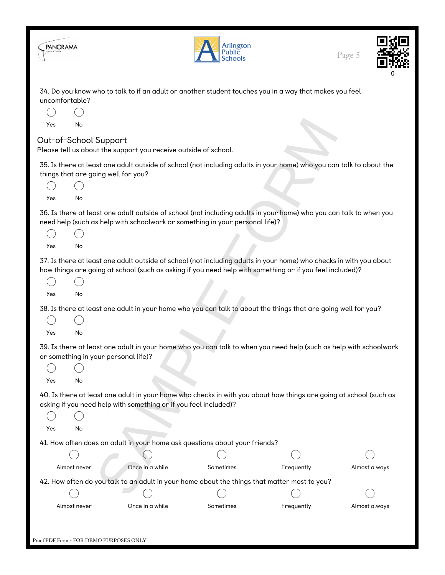| PANORAMA              |                                                  |                                                                  | Arlington<br>Public<br><b>Schools</b>                                                                                                                                                                                          |            | Page 5        |
|-----------------------|--------------------------------------------------|------------------------------------------------------------------|--------------------------------------------------------------------------------------------------------------------------------------------------------------------------------------------------------------------------------|------------|---------------|
| uncomfortable?<br>Yes | No<br>Out-of-School Support                      | Please tell us about the support you receive outside of school.  | 34. Do you know who to talk to if an adult or another student touches you in a way that makes you feel                                                                                                                         |            |               |
| Yes                   | things that are going well for you?<br>No        |                                                                  | 35. Is there at least one adult outside of school (not including adults in your home) who you can talk to about the                                                                                                            |            |               |
| Yes                   | No                                               |                                                                  | 36. Is there at least one adult outside of school (not including adults in your home) who you can talk to when you<br>need help (such as help with schoolwork or something in your personal life)?                             |            |               |
| Yes                   | No                                               |                                                                  | 37. Is there at least one adult outside of school (not including adults in your home) who checks in with you about<br>how things are going at school (such as asking if you need help with something or if you feel included)? |            |               |
|                       |                                                  |                                                                  | 38. Is there at least one adult in your home who you can talk to about the things that are going well for you?                                                                                                                 |            |               |
| Yes<br>Yes            | No<br>or something in your personal life)?<br>No |                                                                  | 39. Is there at least one adult in your home who you can talk to when you need help (such as help with schoolwork                                                                                                              |            |               |
| Yes                   | No                                               | asking if you need help with something or if you feel included)? | 40. Is there at least one adult in your home who checks in with you about how things are going at school (such as                                                                                                              |            |               |
|                       |                                                  |                                                                  | 41. How often does an adult in your home ask questions about your friends?                                                                                                                                                     |            |               |
|                       | Almost never                                     | Once in a while                                                  | Sometimes<br>42. How often do you talk to an adult in your home about the things that matter most to you?                                                                                                                      | Frequently | Almost always |
|                       |                                                  |                                                                  |                                                                                                                                                                                                                                |            |               |
|                       | Almost never                                     | Once in a while                                                  | Sometimes                                                                                                                                                                                                                      | Frequently | Almost always |
|                       | Proof PDF Form - FOR DEMO PURPOSES ONLY          |                                                                  |                                                                                                                                                                                                                                |            |               |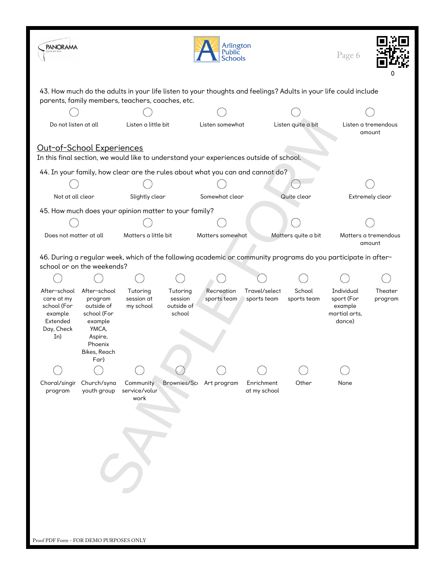| <b>PANORAMA</b>                                                                                                                                                                                                |                                                                                                                        |                                                       |                                             | Arlington<br>Public<br><b>Schools</b> |                              |                       | Page 6                                                         |                      |  |  |
|----------------------------------------------------------------------------------------------------------------------------------------------------------------------------------------------------------------|------------------------------------------------------------------------------------------------------------------------|-------------------------------------------------------|---------------------------------------------|---------------------------------------|------------------------------|-----------------------|----------------------------------------------------------------|----------------------|--|--|
| 43. How much do the adults in your life listen to your thoughts and feelings? Adults in your life could include<br>parents, family members, teachers, coaches, etc.                                            |                                                                                                                        |                                                       |                                             |                                       |                              |                       |                                                                |                      |  |  |
|                                                                                                                                                                                                                |                                                                                                                        |                                                       |                                             |                                       |                              |                       |                                                                |                      |  |  |
| Do not listen at all                                                                                                                                                                                           |                                                                                                                        | Listen a little bit                                   |                                             | Listen somewhat                       |                              | Listen quite a bit    |                                                                | Listen a tremendous  |  |  |
| amount<br>Out-of-School Experiences<br>In this final section, we would like to understand your experiences outside of school.<br>44. In your family, how clear are the rules about what you can and cannot do? |                                                                                                                        |                                                       |                                             |                                       |                              |                       |                                                                |                      |  |  |
|                                                                                                                                                                                                                |                                                                                                                        |                                                       |                                             |                                       |                              |                       |                                                                |                      |  |  |
| Not at all clear                                                                                                                                                                                               |                                                                                                                        | Slightly clear                                        |                                             | Somewhat clear                        |                              | Quite clear           |                                                                | Extremely clear      |  |  |
|                                                                                                                                                                                                                |                                                                                                                        | 45. How much does your opinion matter to your family? |                                             |                                       |                              |                       |                                                                |                      |  |  |
|                                                                                                                                                                                                                |                                                                                                                        |                                                       |                                             |                                       |                              |                       |                                                                |                      |  |  |
| Does not matter at all                                                                                                                                                                                         |                                                                                                                        | Matters a little bit                                  |                                             | Matters somewhat                      |                              | Matters quite a bit   |                                                                | Matters a tremendous |  |  |
| amount<br>46. During a regular week, which of the following academic or community programs do you participate in after-<br>school or on the weekends?                                                          |                                                                                                                        |                                                       |                                             |                                       |                              |                       |                                                                |                      |  |  |
|                                                                                                                                                                                                                |                                                                                                                        |                                                       |                                             |                                       |                              |                       |                                                                |                      |  |  |
| After-school<br>care at my<br>school (For<br>example<br>Extended<br>Day, Check<br>In)                                                                                                                          | After-school<br>program<br>outside of<br>school (For<br>example<br>YMCA,<br>Aspire,<br>Phoenix<br>Bikes, Reach<br>Far) | Tutoring<br>session at<br>my school                   | Tutoring<br>session<br>outside of<br>school | Recreation<br>sports team             | Travel/select<br>sports team | School<br>sports team | Individual<br>sport (For<br>example<br>martial arts,<br>dance) | Theater<br>program   |  |  |
|                                                                                                                                                                                                                |                                                                                                                        |                                                       |                                             |                                       |                              |                       |                                                                |                      |  |  |
| Choral/singir<br>program                                                                                                                                                                                       | Church/syna<br>youth group                                                                                             | Community<br>service/volur<br>work                    | <b>Brownies/Sco</b>                         | Art program                           | Enrichment<br>at my school   | Other                 | None                                                           |                      |  |  |
| Proof PDF Form - FOR DEMO PURPOSES ONLY                                                                                                                                                                        |                                                                                                                        |                                                       |                                             |                                       |                              |                       |                                                                |                      |  |  |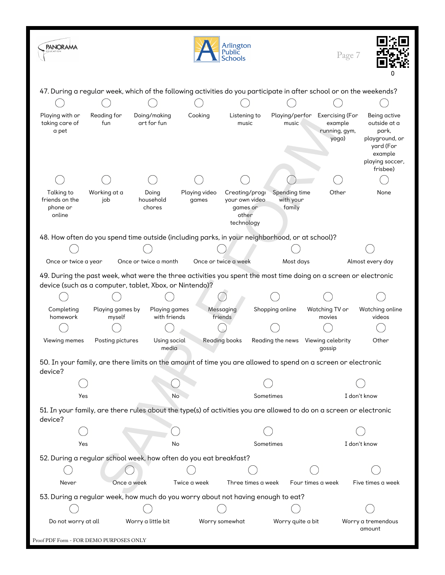| <b>PANORAMA</b>                                    |                            |                                                                                                                                                                             |                        | Arlington<br>Public<br>Schools                                      |                                      | Page 7                                               |                                                                                                                |
|----------------------------------------------------|----------------------------|-----------------------------------------------------------------------------------------------------------------------------------------------------------------------------|------------------------|---------------------------------------------------------------------|--------------------------------------|------------------------------------------------------|----------------------------------------------------------------------------------------------------------------|
|                                                    |                            | 47. During a regular week, which of the following activities do you participate in after school or on the weekends?                                                         |                        |                                                                     |                                      |                                                      |                                                                                                                |
|                                                    |                            |                                                                                                                                                                             |                        |                                                                     |                                      |                                                      |                                                                                                                |
| Playing with or<br>taking care of<br>a pet         | Reading for<br>fun         | Doing/making<br>art for fun                                                                                                                                                 | Cooking                | Listening to<br>music                                               | Playing/perfor<br>music              | Exercising (For<br>example<br>running, gym,<br>yoga) | Being active<br>outside at a<br>park,<br>playground, or<br>yard (For<br>example<br>playing soccer,<br>frisbee) |
|                                                    |                            |                                                                                                                                                                             |                        |                                                                     |                                      |                                                      |                                                                                                                |
| Talking to<br>friends on the<br>phone or<br>online | Working at a<br>job        | Doing<br>household<br>chores                                                                                                                                                | Playing video<br>games | Creating/progl<br>your own video<br>games or<br>other<br>technology | Spending time<br>with your<br>family | Other                                                | None                                                                                                           |
|                                                    |                            | 48. How often do you spend time outside (including parks, in your neighborhood, or at school)?                                                                              |                        |                                                                     |                                      |                                                      |                                                                                                                |
|                                                    |                            |                                                                                                                                                                             |                        |                                                                     |                                      |                                                      |                                                                                                                |
| Once or twice a year                               |                            | Once or twice a month                                                                                                                                                       |                        | Once or twice a week                                                | Most days                            |                                                      | Almost every day                                                                                               |
|                                                    |                            | 49. During the past week, what were the three activities you spent the most time doing on a screen or electronic<br>device (such as a computer, tablet, Xbox, or Nintendo)? |                        |                                                                     |                                      |                                                      |                                                                                                                |
|                                                    |                            |                                                                                                                                                                             |                        |                                                                     |                                      |                                                      |                                                                                                                |
| Completing<br>homework                             | Playing games by<br>myself | <b>Playing games</b><br>with friends                                                                                                                                        |                        | Messaging<br>friends                                                | Shopping online                      | Watching TV or<br>movies                             | Watching online<br>videos                                                                                      |
|                                                    |                            |                                                                                                                                                                             |                        |                                                                     |                                      |                                                      |                                                                                                                |
| Viewing memes                                      | Posting pictures           | Using social<br>media                                                                                                                                                       |                        | <b>Reading books</b>                                                | Reading the news                     | Viewing celebrity<br>qossip                          | Other                                                                                                          |
| device?                                            |                            | 50. In your family, are there limits on the amount of time you are allowed to spend on a screen or electronic                                                               |                        |                                                                     |                                      |                                                      |                                                                                                                |
|                                                    |                            |                                                                                                                                                                             |                        |                                                                     |                                      |                                                      |                                                                                                                |
| Yes                                                |                            | No                                                                                                                                                                          |                        |                                                                     | Sometimes                            |                                                      | I don't know                                                                                                   |
| device?                                            |                            | 51. In your family, are there rules about the type(s) of activities you are allowed to do on a screen or electronic                                                         |                        |                                                                     |                                      |                                                      |                                                                                                                |
|                                                    |                            |                                                                                                                                                                             |                        |                                                                     |                                      |                                                      |                                                                                                                |
| Yes                                                |                            | No                                                                                                                                                                          |                        |                                                                     | Sometimes                            |                                                      | I don't know                                                                                                   |
|                                                    |                            | 52. During a regular school week, how often do you eat breakfast?                                                                                                           |                        |                                                                     |                                      |                                                      |                                                                                                                |
|                                                    |                            |                                                                                                                                                                             |                        |                                                                     |                                      |                                                      |                                                                                                                |
| Never                                              | Once a week                |                                                                                                                                                                             | Twice a week           | Three times a week                                                  |                                      | Four times a week                                    | Five times a week                                                                                              |
|                                                    |                            |                                                                                                                                                                             |                        |                                                                     |                                      |                                                      |                                                                                                                |
|                                                    |                            | 53. During a regular week, how much do you worry about not having enough to eat?                                                                                            |                        |                                                                     |                                      |                                                      |                                                                                                                |
| Do not worry at all                                |                            | Worry a little bit                                                                                                                                                          |                        | Worry somewhat                                                      | Worry quite a bit                    |                                                      | Worry a tremendous                                                                                             |
| amount<br>Proof PDF Form - FOR DEMO PURPOSES ONLY  |                            |                                                                                                                                                                             |                        |                                                                     |                                      |                                                      |                                                                                                                |